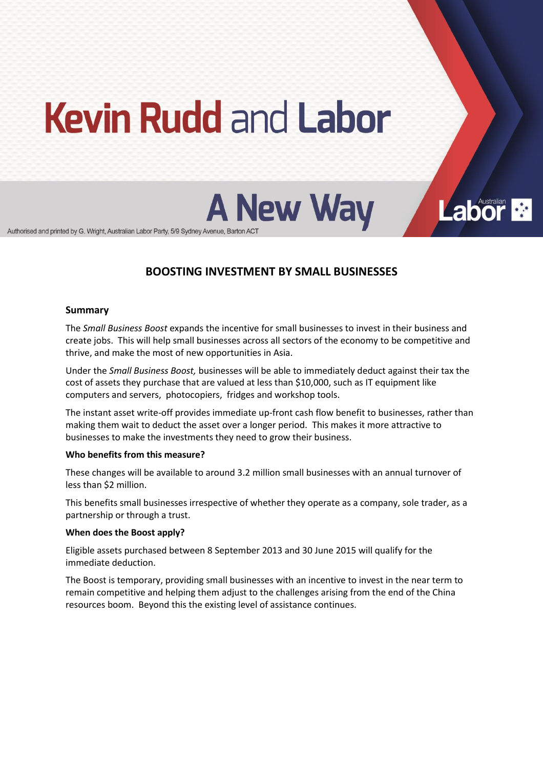# **Kevin Rudd and Labor**

**A New Way** 

**Labor** 

Authorised and printed by G. Wright, Australian Labor Party, 5/9 Sydney Avenue, Barton ACT

# **BOOSTING!INVESTMENT!BY SMALL!BUSINESSES**

#### **Summary**

The *Small Business Boost* expands the incentive for small businesses to invest in their business and create jobs. This will help small businesses across all sectors of the economy to be competitive and thrive, and make the most of new opportunities in Asia.

Under the *Small Business Boost*, businesses will be able to immediately deduct against their tax the cost of assets they purchase that are valued at less than \$10,000, such as IT equipment like computers and servers, photocopiers, fridges and workshop tools.

The instant asset write-off provides immediate up-front cash flow benefit to businesses, rather than making them wait to deduct the asset over a longer period. This makes it more attractive to businesses to make the investments they need to grow their business.

#### **Who benefits from this measure?**

These changes will be available to around 3.2 million small businesses with an annual turnover of less than \$2 million.

This benefits small businesses irrespective of whether they operate as a company, sole trader, as a partnership or through a trust.

# **When does the Boost apply?**

Eligible assets purchased between 8 September 2013 and 30 June 2015 will qualify for the immediate deduction.

The Boost is temporary, providing small businesses with an incentive to invest in the near term to remain competitive and helping them adjust to the challenges arising from the end of the China resources boom. Beyond this the existing level of assistance continues.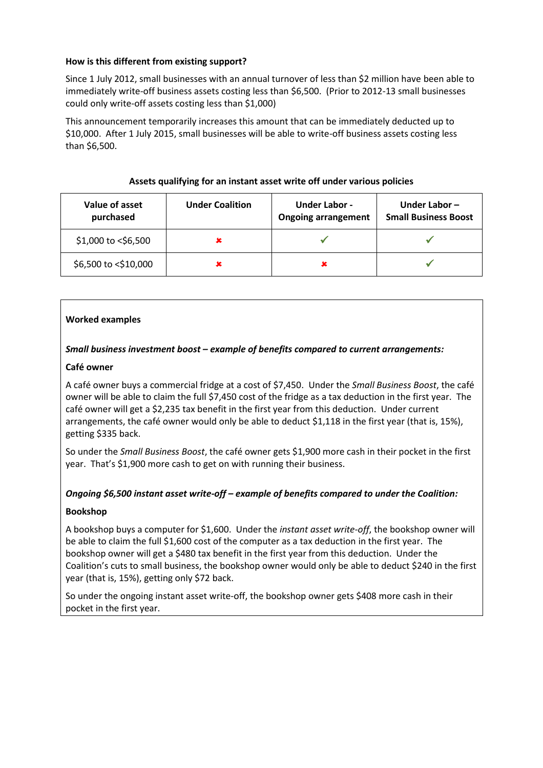# How is this different from existing support?

Since 1 July 2012, small businesses with an annual turnover of less than \$2 million have been able to immediately write-off business assets costing less than \$6,500. (Prior to 2012-13 small businesses could only write-off assets costing less than \$1,000)

This announcement temporarily increases this amount that can be immediately deducted up to \$10,000. After 1 July 2015, small businesses will be able to write-off business assets costing less than \$6.500.

| Value of asset<br>purchased | <b>Under Coalition</b> | <b>Under Labor -</b><br><b>Ongoing arrangement</b> | Under Labor $-$<br><b>Small Business Boost</b> |
|-----------------------------|------------------------|----------------------------------------------------|------------------------------------------------|
| \$1,000 to <\$6,500         |                        |                                                    |                                                |
| \$6,500 to <\$10,000        |                        | ×                                                  |                                                |

# Assets qualifying for an instant asset write off under various policies

# **Worked!examples**

# **Small business investment boost - example of benefits compared to current arrangements:**

# **Café owner**

A café owner buys a commercial fridge at a cost of \$7,450. Under the *Small Business Boost*, the café owner will be able to claim the full \$7,450 cost of the fridge as a tax deduction in the first year. The café owner will get a \$2,235 tax benefit in the first year from this deduction. Under current arrangements, the café owner would only be able to deduct \$1,118 in the first year (that is, 15%), getting \$335 back.

So under the *Small Business Boost*, the café owner gets \$1,900 more cash in their pocket in the first year. That's \$1,900 more cash to get on with running their business.

# *Ongoing \$6,500 instant asset write-off – example of benefits compared to under the Coalition:*

# **Bookshop**

A bookshop buys a computer for \$1,600. Under the *instant asset write-off*, the bookshop owner will be able to claim the full \$1,600 cost of the computer as a tax deduction in the first year. The bookshop owner will get a \$480 tax benefit in the first year from this deduction. Under the Coalition's cuts to small business, the bookshop owner would only be able to deduct \$240 in the first year (that is, 15%), getting only \$72 back.

So under the ongoing instant asset write-off, the bookshop owner gets \$408 more cash in their pocket in the first year.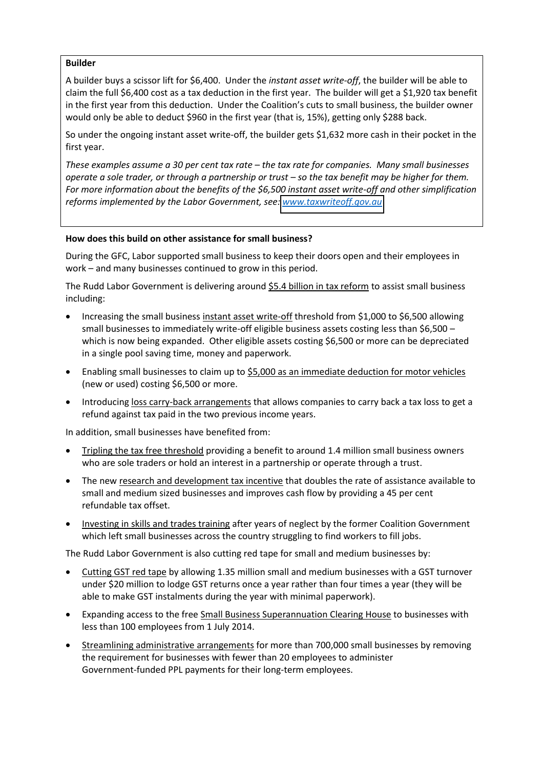# **Builder**

A builder buys a scissor lift for \$6,400. Under the *instant asset write-off*, the builder will be able to claim the full \$6,400 cost as a tax deduction in the first year. The builder will get a \$1,920 tax benefit in the first year from this deduction. Under the Coalition's cuts to small business, the builder owner would only be able to deduct \$960 in the first year (that is, 15%), getting only \$288 back.

So under the ongoing instant asset write-off, the builder gets \$1,632 more cash in their pocket in the first year.

*These%examples%assume%a%30%per%cent%tax%rate%ʹ the%tax%rate%for%companies.%%Many%small%businesses% operate a sole trader, or through a partnership or trust – so the tax benefit may be higher for them.* For more information about the benefits of the \$6,500 instant asset write-off and other simplification *reforms implemented by the Labor Government, see: www.taxwriteoff.gov.au* 

# **How does this build on other assistance for small business?**

During the GFC, Labor supported small business to keep their doors open and their employees in  $work -$  and many businesses continued to grow in this period.

The Rudd Labor Government is delivering around \$5.4 billion in tax reform to assist small business including:

- $\bullet$  Increasing the small business instant asset write-off threshold from \$1,000 to \$6,500 allowing small businesses to immediately write-off eligible business assets costing less than \$6,500 – which is now being expanded. Other eligible assets costing \$6,500 or more can be depreciated in a single pool saving time, money and paperwork.
- **•** Enabling small businesses to claim up to \$5,000 as an immediate deduction for motor vehicles (new or used) costing \$6,500 or more.
- Introducing loss carry-back arrangements that allows companies to carry back a tax loss to get a refund against tax paid in the two previous income years.

In addition, small businesses have benefited from:

- Tripling the tax free threshold providing a benefit to around 1.4 million small business owners who are sole traders or hold an interest in a partnership or operate through a trust.
- The new research and development tax incentive that doubles the rate of assistance available to small and medium sized businesses and improves cash flow by providing a 45 per cent refundable tax offset.
- Investing in skills and trades training after years of neglect by the former Coalition Government which left small businesses across the country struggling to find workers to fill jobs.

The Rudd Labor Government is also cutting red tape for small and medium businesses by:

- Cutting GST red tape by allowing 1.35 million small and medium businesses with a GST turnover under \$20 million to lodge GST returns once a year rather than four times a year (they will be able to make GST instalments during the year with minimal paperwork).
- **Expanding access to the free Small Business Superannuation Clearing House to businesses with** less than 100 employees from 1 July 2014.
- Streamlining administrative arrangements for more than 700,000 small businesses by removing the requirement for businesses with fewer than 20 employees to administer Government-funded PPL payments for their long-term employees.